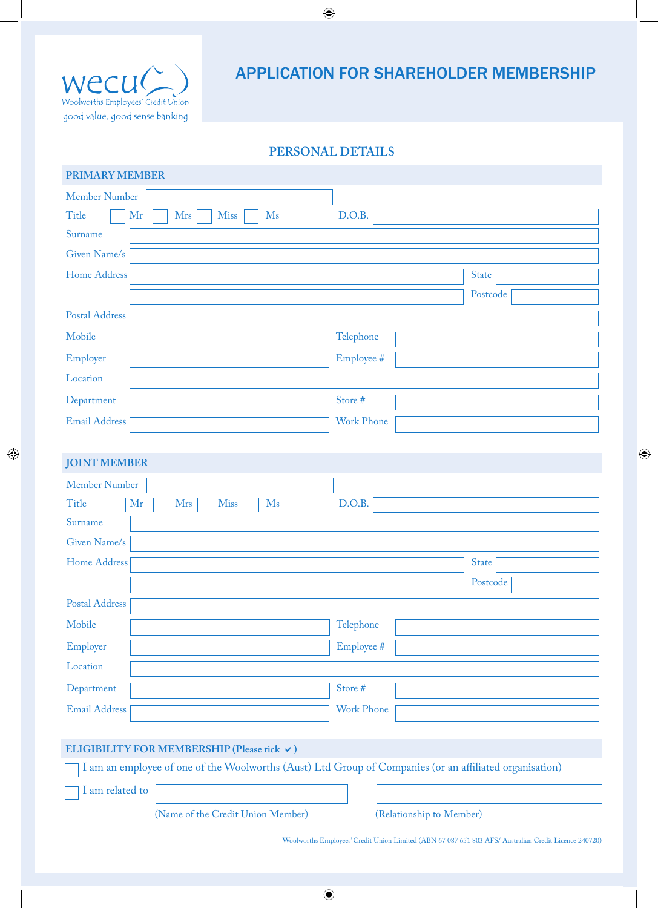

# APPLICATION FOR SHAREHOLDER MEMBERSHIP

## **PERSONAL DETAILS**

 $\bigoplus$ 

| <b>PRIMARY MEMBER</b>                               |                   |
|-----------------------------------------------------|-------------------|
| <b>Member Number</b>                                |                   |
| M <sub>s</sub><br>Title<br>Mr<br><b>Mrs</b><br>Miss | D.O.B.            |
| Surname                                             |                   |
| Given Name/s                                        |                   |
| Home Address                                        | <b>State</b>      |
|                                                     | Postcode          |
| <b>Postal Address</b>                               |                   |
| Mobile                                              | Telephone         |
| Employer                                            | Employee #        |
| Location                                            |                   |
| Department                                          | Store #           |
| Email Address                                       | <b>Work Phone</b> |
|                                                     |                   |

## **JOINT MEMBER**

| Member Number                                        |                   |
|------------------------------------------------------|-------------------|
| Title<br>Mr<br>Mrs<br>Miss<br>$\mathbf{M}\mathbf{s}$ | D.O.B.            |
| Surname                                              |                   |
| Given Name/s                                         |                   |
| Home Address                                         | <b>State</b>      |
|                                                      | Postcode          |
| Postal Address                                       |                   |
| Mobile                                               | Telephone         |
| Employer                                             | Employee #        |
| Location                                             |                   |
| Department                                           | Store #           |
| <b>Email Address</b>                                 | <b>Work Phone</b> |
|                                                      |                   |

## ELIGIBILITY FOR MEMBERSHIP (Please tick  $\vee$ )

I am an employee of one of the Woolworths (Aust) Ltd Group of Companies (or an affiliated organisation)

I am related to

(Name of the Credit Union Member) (Relationship to Member)

Woolworths Employees' Credit Union Limited (ABN 67 087 651 803 AFS/ Australian Credit Licence 240720)

 $\bigoplus$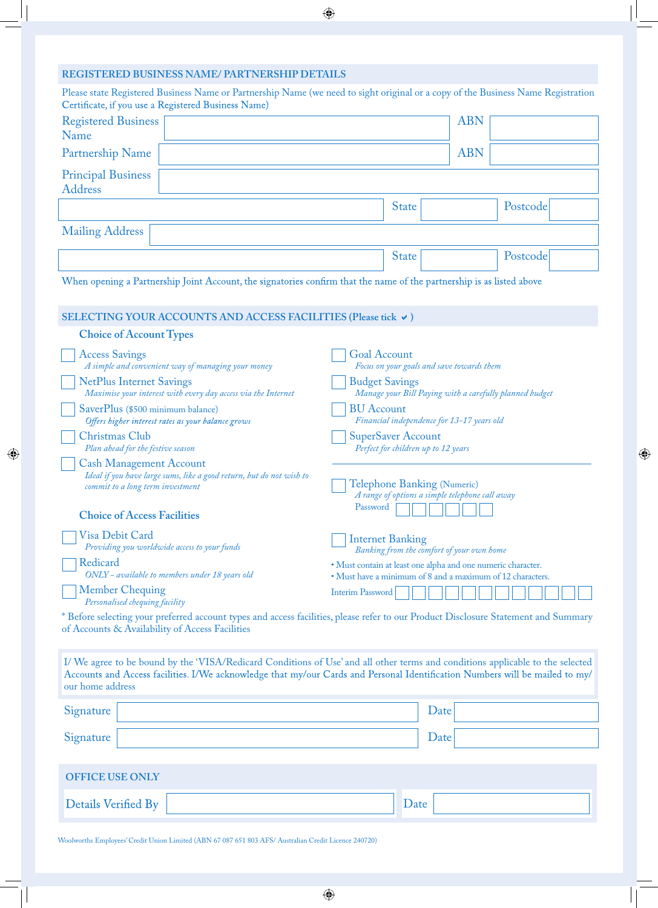| REGISTERED BUSINESS NAME/PARTNERSHIP DETAILS<br>Please state Registered Business Name or Partnership Name (we need to sight original or a copy of the Business Name Registration                                                                                                  |                                                                                                                            |            |  |  |
|-----------------------------------------------------------------------------------------------------------------------------------------------------------------------------------------------------------------------------------------------------------------------------------|----------------------------------------------------------------------------------------------------------------------------|------------|--|--|
| Certificate, if you use a Registered Business Name)                                                                                                                                                                                                                               |                                                                                                                            |            |  |  |
| <b>Registered Business</b><br>Name                                                                                                                                                                                                                                                |                                                                                                                            | <b>ABN</b> |  |  |
| Partnership Name                                                                                                                                                                                                                                                                  |                                                                                                                            | <b>ABN</b> |  |  |
| <b>Principal Business</b><br><b>Address</b>                                                                                                                                                                                                                                       |                                                                                                                            |            |  |  |
|                                                                                                                                                                                                                                                                                   | <b>State</b>                                                                                                               | Postcode   |  |  |
| <b>Mailing Address</b>                                                                                                                                                                                                                                                            |                                                                                                                            |            |  |  |
|                                                                                                                                                                                                                                                                                   | <b>State</b>                                                                                                               | Postcode   |  |  |
| When opening a Partnership Joint Account, the signatories confirm that the name of the partnership is as listed above                                                                                                                                                             |                                                                                                                            |            |  |  |
| SELECTING YOUR ACCOUNTS AND ACCESS FACILITIES (Please tick v)                                                                                                                                                                                                                     |                                                                                                                            |            |  |  |
| <b>Choice of Account Types</b>                                                                                                                                                                                                                                                    |                                                                                                                            |            |  |  |
| <b>Access Savings</b><br>A simple and convenient way of managing your money                                                                                                                                                                                                       | <b>Goal Account</b><br>Focus on your goals and save towards them                                                           |            |  |  |
| <b>NetPlus Internet Savings</b><br>Maximise your interest with every day access via the Internet                                                                                                                                                                                  | <b>Budget Savings</b><br>Manage your Bill Paying with a carefully planned budget                                           |            |  |  |
| SaverPlus (\$500 minimum balance)<br>Offers higher interest rates as your balance grows                                                                                                                                                                                           | <b>BU</b> Account<br>Financial independence for 13-17 years old                                                            |            |  |  |
| Christmas Club<br>Plan ahead for the festive season                                                                                                                                                                                                                               | <b>SuperSaver Account</b><br>Perfect for children up to 12 years                                                           |            |  |  |
| <b>Cash Management Account</b><br>Ideal if you have large sums, like a good return, but do not wish to<br>commit to a long term investment                                                                                                                                        | Telephone Banking (Numeric)<br>A range of options a simple telephone call away                                             |            |  |  |
| <b>Choice of Access Facilities</b>                                                                                                                                                                                                                                                | Password                                                                                                                   |            |  |  |
| Visa Debit Card<br>Providing you worldwide access to your funds                                                                                                                                                                                                                   | <b>Internet Banking</b><br>Banking from the comfort of your own home                                                       |            |  |  |
| Redicard<br>ONLY - available to members under 18 years old                                                                                                                                                                                                                        | · Must contain at least one alpha and one numeric character.<br>• Must have a minimum of 8 and a maximum of 12 characters. |            |  |  |
| <b>Member Chequing</b><br>Personalised chequing facility                                                                                                                                                                                                                          | <b>Interim Password</b>                                                                                                    |            |  |  |
| * Before selecting your preferred account types and access facilities, please refer to our Product Disclosure Statement and Summary<br>of Accounts & Availability of Access Facilities                                                                                            |                                                                                                                            |            |  |  |
| I/We agree to be bound by the 'VISA/Redicard Conditions of Use' and all other terms and conditions applicable to the selected<br>Accounts and Access facilities. I/We acknowledge that my/our Cards and Personal Identification Numbers will be mailed to my/<br>our home address |                                                                                                                            |            |  |  |
| Signature                                                                                                                                                                                                                                                                         | Date                                                                                                                       |            |  |  |
| Signature                                                                                                                                                                                                                                                                         | Date                                                                                                                       |            |  |  |
| <b>OFFICE USE ONLY</b>                                                                                                                                                                                                                                                            |                                                                                                                            |            |  |  |
| Details Verified By                                                                                                                                                                                                                                                               | Date                                                                                                                       |            |  |  |
|                                                                                                                                                                                                                                                                                   |                                                                                                                            |            |  |  |

 $\overline{\bigoplus}$ 

 $\bigoplus$ 

Woolworths Employees' Credit Union Limited (ABN 67 087 651 803 AFS/ Australian Credit Licence 240720)

 $\bigoplus$ 

 $\bigoplus$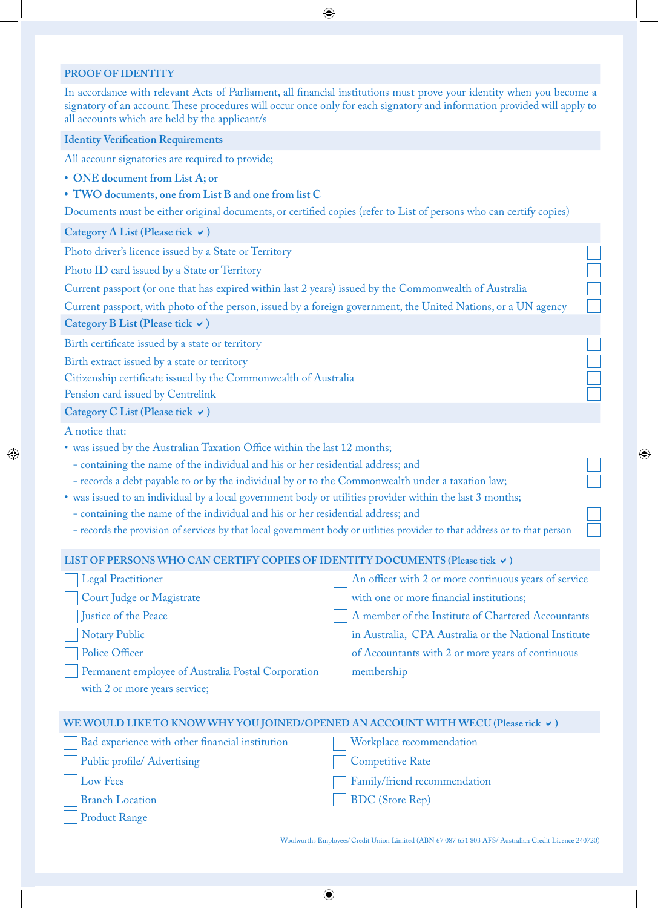#### **PROOF OF IDENTITY**

In accordance with relevant Acts of Parliament, all financial institutions must prove your identity when you become a signatory of an account. These procedures will occur once only for each signatory and information provided will apply to all accounts which are held by the applicant/s

⊕

### **Identity Verification Requirements**

All account signatories are required to provide;

- **• ONE document from List A; or**
- **• TWO documents, one from List B and one from list C**

Documents must be either original documents, or certified copies (refer to List of persons who can certify copies)

**Category A List (Please tick** a**)**

Photo driver's licence issued by a State or Territory

Photo ID card issued by a State or Territory

Current passport (or one that has expired within last 2 years) issued by the Commonwealth of Australia

Current passport, with photo of the person, issued by a foreign government, the United Nations, or a UN agency

**Category B List (Please tick** a**)**

Birth certificate issued by a state or territory

Birth extract issued by a state or territory

Citizenship certificate issued by the Commonwealth of Australia

Pension card issued by Centrelink

**Category C List (Please tick** a**)**

A notice that:

⊕

Product Range

- was issued by the Australian Taxation Office within the last 12 months;
	- containing the name of the individual and his or her residential address; and
	- records a debt payable to or by the individual by or to the Commonwealth under a taxation law;
- was issued to an individual by a local government body or utilities provider within the last 3 months;
- containing the name of the individual and his or her residential address; and
- records the provision of services by that local government body or uitlities provider to that address or to that person

#### LIST OF PERSONS WHO CAN CERTIFY COPIES OF IDENTITY DOCUMENTS (Please tick  $\vee$ )

| Legal Practitioner                                 | An officer with 2 or more continuous years of service |
|----------------------------------------------------|-------------------------------------------------------|
| Court Judge or Magistrate                          | with one or more financial institutions;              |
| Justice of the Peace                               | A member of the Institute of Chartered Accountants    |
| Notary Public                                      | in Australia, CPA Australia or the National Institute |
| Police Officer                                     | of Accountants with 2 or more years of continuous     |
| Permanent employee of Australia Postal Corporation | membership                                            |
| with 2 or more years service;                      |                                                       |

| WE WOULD LIKE TO KNOW WHY YOU JOINED/OPENED AN ACCOUNT WITH WECU (Please tick $\checkmark$ ) |                              |  |
|----------------------------------------------------------------------------------------------|------------------------------|--|
| Bad experience with other financial institution                                              | Workplace recommendation     |  |
| Public profile/ Advertising                                                                  | Competitive Rate             |  |
| Low Fees                                                                                     | Family/friend recommendation |  |
| <b>Branch Location</b>                                                                       | BDC (Store Rep)              |  |

Woolworths Employees' Credit Union Limited (ABN 67 087 651 803 AFS/ Australian Credit Licence 240720)

⊕

 $\bigoplus$